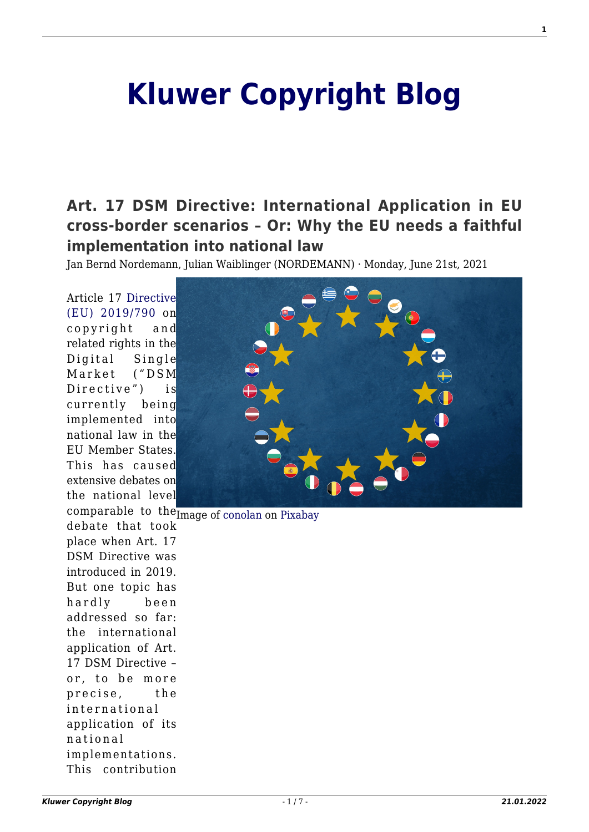# **[Kluwer Copyright Blog](http://copyrightblog.kluweriplaw.com/)**

## **[Art. 17 DSM Directive: International Application in EU](http://copyrightblog.kluweriplaw.com/2021/06/21/art-17-dsm-directive-international-application-in-eu-cross-border-scenarios-or-why-the-eu-needs-a-faithful-implementation-into-national-law/) [cross-border scenarios – Or: Why the EU needs a faithful](http://copyrightblog.kluweriplaw.com/2021/06/21/art-17-dsm-directive-international-application-in-eu-cross-border-scenarios-or-why-the-eu-needs-a-faithful-implementation-into-national-law/) [implementation into national law](http://copyrightblog.kluweriplaw.com/2021/06/21/art-17-dsm-directive-international-application-in-eu-cross-border-scenarios-or-why-the-eu-needs-a-faithful-implementation-into-national-law/)**

Jan Bernd Nordemann, Julian Waiblinger (NORDEMANN) · Monday, June 21st, 2021

Article 17 [Directive](https://eur-lex.europa.eu/eli/dir/2019/790/oj) [\(EU\) 2019/790](https://eur-lex.europa.eu/eli/dir/2019/790/oj) on copyright and related rights in the Digital Single Market ("DSM Directive") is currently being implemented into national law in the EU Member States. This has caused extensive debates on the national level



comparable to the Image of [conolan](https://pixabay.com/es/users/conolan-4525104/?utm_source=link-attribution&utm_medium=referral&utm_campaign=image&utm_content=4100607) on [Pixabay](https://pixabay.com/es/?utm_source=link-attribution&utm_medium=referral&utm_campaign=image&utm_content=4100607) debate that took place when Art. 17 DSM Directive was introduced in 2019. But one topic has hardly been addressed so far: the international application of Art. 17 DSM Directive – or, to be more precise, the international application of its national implementations. This contribution

**1**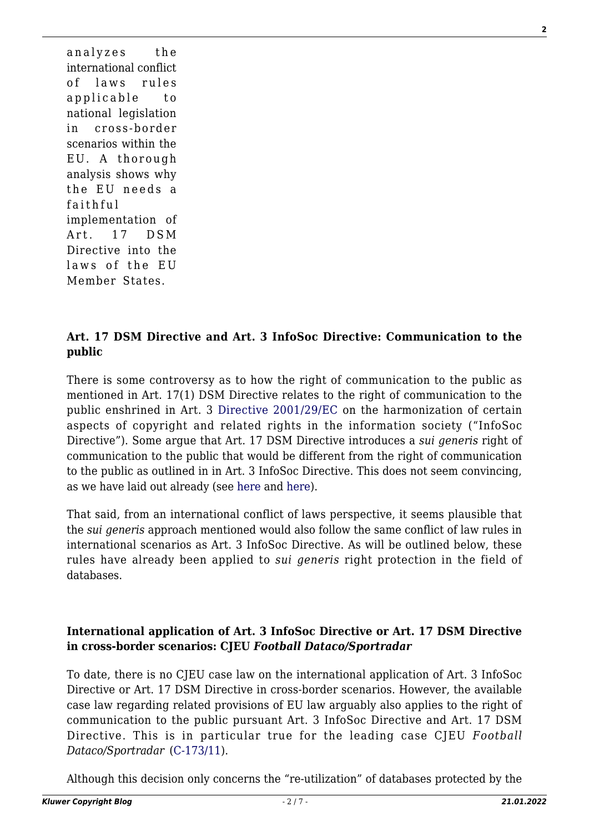analyzes the international conflict of laws rules applicable to national legislation in cross-border scenarios within the EU. A thorough analysis shows why the EU needs a faithful implementation of Art. 17 DSM Directive into the laws of the EU Member States.

#### **Art. 17 DSM Directive and Art. 3 InfoSoc Directive: Communication to the public**

There is some controversy as to how the right of communication to the public as mentioned in Art. 17(1) DSM Directive relates to the right of communication to the public enshrined in Art. 3 [Directive 2001/29/EC](https://eur-lex.europa.eu/legal-content/EN/TXT/?uri=celex%3A32001L0029) on the harmonization of certain aspects of copyright and related rights in the information society ("InfoSoc Directive"). Some argue that Art. 17 DSM Directive introduces a *sui generis* right of communication to the public that would be different from the right of communication to the public as outlined in in Art. 3 InfoSoc Directive. This does not seem convincing, as we have laid out already (see [here](http://copyrightblog.kluweriplaw.com/2020/07/16/art-17-dsmcd-a-class-of-its-own-how-to-implement-art-17-into-the-existing-national-copyright-acts-including-a-comment-on-the-recent-german-discussion-draft-part-1/) and [here\)](http://copyrightblog.kluweriplaw.com/2020/07/17/art-17-dsmcd-a-class-of-its-own-how-to-implement-art-17-into-the-existing-national-copyright-acts-including-a-comment-on-the-recent-german-discussion-draft-part-2/).

That said, from an international conflict of laws perspective, it seems plausible that the *sui generis* approach mentioned would also follow the same conflict of law rules in international scenarios as Art. 3 InfoSoc Directive. As will be outlined below, these rules have already been applied to *sui generis* right protection in the field of databases.

#### **International application of Art. 3 InfoSoc Directive or Art. 17 DSM Directive in cross-border scenarios: CJEU** *Football Dataco/Sportradar*

To date, there is no CJEU case law on the international application of Art. 3 InfoSoc Directive or Art. 17 DSM Directive in cross-border scenarios. However, the available case law regarding related provisions of EU law arguably also applies to the right of communication to the public pursuant Art. 3 InfoSoc Directive and Art. 17 DSM Directive. This is in particular true for the leading case CJEU *Football Dataco/Sportradar* [\(C-173/11](https://curia.europa.eu/juris/liste.jsf?num=C-173/11&language=EN)).

Although this decision only concerns the "re-utilization" of databases protected by the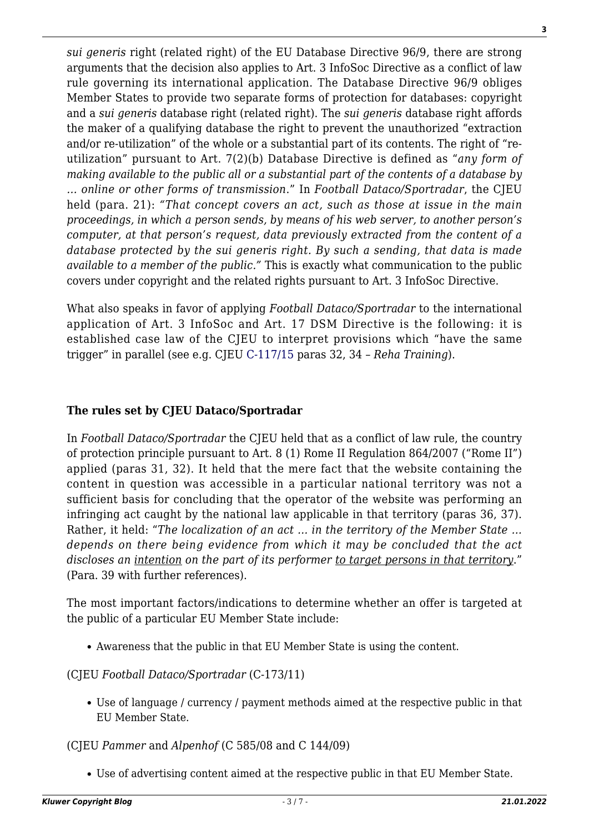*sui generis* right (related right) of the EU Database Directive 96/9, there are strong arguments that the decision also applies to Art. 3 InfoSoc Directive as a conflict of law rule governing its international application. The Database Directive 96/9 obliges Member States to provide two separate forms of protection for databases: copyright and a *sui generis* database right (related right). The *sui generis* database right affords the maker of a qualifying database the right to prevent the unauthorized "extraction and/or re-utilization" of the whole or a substantial part of its contents. The right of "reutilization" pursuant to Art. 7(2)(b) Database Directive is defined as "*any form of making available to the public all or a substantial part of the contents of a database by … online or other forms of transmission*." In *Football Dataco/Sportradar*, the CJEU held (para. 21): *"That concept covers an act, such as those at issue in the main proceedings, in which a person sends, by means of his web server, to another person's computer, at that person's request, data previously extracted from the content of a database protected by the sui generis right. By such a sending, that data is made available to a member of the public."* This is exactly what communication to the public covers under copyright and the related rights pursuant to Art. 3 InfoSoc Directive.

What also speaks in favor of applying *Football Dataco/Sportradar* to the international application of Art. 3 InfoSoc and Art. 17 DSM Directive is the following: it is established case law of the CJEU to interpret provisions which "have the same trigger" in parallel (see e.g. CJEU [C-117/15](https://curia.europa.eu/juris/liste.jsf?num=C-117/15) paras 32, 34 – *Reha Training*).

#### **The rules set by CJEU Dataco/Sportradar**

In *Football Dataco/Sportradar* the CJEU held that as a conflict of law rule, the country of protection principle pursuant to Art. 8 (1) Rome II Regulation 864/2007 ("Rome II") applied (paras 31, 32). It held that the mere fact that the website containing the content in question was accessible in a particular national territory was not a sufficient basis for concluding that the operator of the website was performing an infringing act caught by the national law applicable in that territory (paras 36, 37). Rather, it held: "*The localization of an act … in the territory of the Member State … depends on there being evidence from which it may be concluded that the act discloses an intention on the part of its performer to target persons in that territory*." (Para. 39 with further references).

The most important factors/indications to determine whether an offer is targeted at the public of a particular EU Member State include:

Awareness that the public in that EU Member State is using the content.

(CJEU *Football Dataco/Sportradar* (C-173/11)

Use of language / currency / payment methods aimed at the respective public in that EU Member State.

(CJEU *Pammer* and *Alpenhof* (C 585/08 and C 144/09)

Use of advertising content aimed at the respective public in that EU Member State.

**3**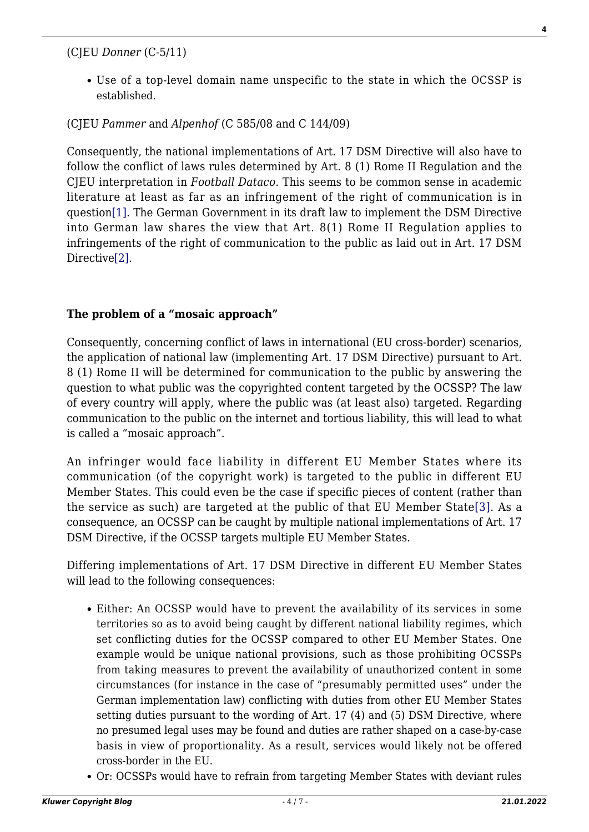(CJEU *Donner* (C-5/11)

Use of a top-level domain name unspecific to the state in which the OCSSP is established.

(CJEU *Pammer* and *Alpenhof* (C 585/08 and C 144/09)

<span id="page-3-0"></span>Consequently, the national implementations of Art. 17 DSM Directive will also have to follow the conflict of laws rules determined by Art. 8 (1) Rome II Regulation and the CJEU interpretation in *Football Dataco*. This seems to be common sense in academic literature at least as far as an infringement of the right of communication is in questio[n\[1\]](#page-5-0). The German Government in its draft law to implement the DSM Directive into German law shares the view that Art. 8(1) Rome II Regulation applies to infringements of the right of communication to the public as laid out in Art. 17 DSM Directive[\[2\]](#page-5-1).

#### <span id="page-3-1"></span>**The problem of a "mosaic approach"**

Consequently, concerning conflict of laws in international (EU cross-border) scenarios, the application of national law (implementing Art. 17 DSM Directive) pursuant to Art. 8 (1) Rome II will be determined for communication to the public by answering the question to what public was the copyrighted content targeted by the OCSSP? The law of every country will apply, where the public was (at least also) targeted. Regarding communication to the public on the internet and tortious liability, this will lead to what is called a "mosaic approach".

<span id="page-3-2"></span>An infringer would face liability in different EU Member States where its communication (of the copyright work) is targeted to the public in different EU Member States. This could even be the case if specific pieces of content (rather than the service as such) are targeted at the public of that EU Member State[\[3\].](#page-5-2) As a consequence, an OCSSP can be caught by multiple national implementations of Art. 17 DSM Directive, if the OCSSP targets multiple EU Member States.

Differing implementations of Art. 17 DSM Directive in different EU Member States will lead to the following consequences:

- Either: An OCSSP would have to prevent the availability of its services in some territories so as to avoid being caught by different national liability regimes, which set conflicting duties for the OCSSP compared to other EU Member States. One example would be unique national provisions, such as those prohibiting OCSSPs from taking measures to prevent the availability of unauthorized content in some circumstances (for instance in the case of "presumably permitted uses" under the German implementation law) conflicting with duties from other EU Member States setting duties pursuant to the wording of Art. 17 (4) and (5) DSM Directive, where no presumed legal uses may be found and duties are rather shaped on a case-by-case basis in view of proportionality. As a result, services would likely not be offered cross-border in the EU.
- Or: OCSSPs would have to refrain from targeting Member States with deviant rules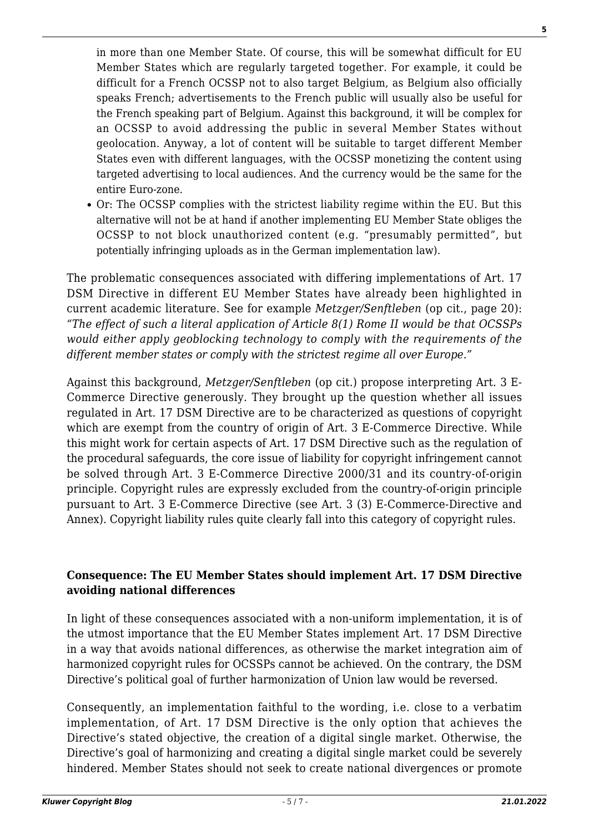in more than one Member State. Of course, this will be somewhat difficult for EU Member States which are regularly targeted together. For example, it could be difficult for a French OCSSP not to also target Belgium, as Belgium also officially speaks French; advertisements to the French public will usually also be useful for the French speaking part of Belgium. Against this background, it will be complex for an OCSSP to avoid addressing the public in several Member States without geolocation. Anyway, a lot of content will be suitable to target different Member States even with different languages, with the OCSSP monetizing the content using targeted advertising to local audiences. And the currency would be the same for the entire Euro-zone.

Or: The OCSSP complies with the strictest liability regime within the EU. But this alternative will not be at hand if another implementing EU Member State obliges the OCSSP to not block unauthorized content (e.g. "presumably permitted", but potentially infringing uploads as in the German implementation law).

The problematic consequences associated with differing implementations of Art. 17 DSM Directive in different EU Member States have already been highlighted in current academic literature. See for example *Metzger/Senftleben* (op cit., page 20): *"The effect of such a literal application of Article 8(1) Rome II would be that OCSSPs would either apply geoblocking technology to comply with the requirements of the different member states or comply with the strictest regime all over Europe."*

Against this background, *Metzger/Senftleben* (op cit.) propose interpreting Art. 3 E-Commerce Directive generously. They brought up the question whether all issues regulated in Art. 17 DSM Directive are to be characterized as questions of copyright which are exempt from the country of origin of Art. 3 E-Commerce Directive. While this might work for certain aspects of Art. 17 DSM Directive such as the regulation of the procedural safeguards, the core issue of liability for copyright infringement cannot be solved through Art. 3 E-Commerce Directive 2000/31 and its country-of-origin principle. Copyright rules are expressly excluded from the country-of-origin principle pursuant to Art. 3 E-Commerce Directive (see Art. 3 (3) E-Commerce-Directive and Annex). Copyright liability rules quite clearly fall into this category of copyright rules.

#### **Consequence: The EU Member States should implement Art. 17 DSM Directive avoiding national differences**

In light of these consequences associated with a non-uniform implementation, it is of the utmost importance that the EU Member States implement Art. 17 DSM Directive in a way that avoids national differences, as otherwise the market integration aim of harmonized copyright rules for OCSSPs cannot be achieved. On the contrary, the DSM Directive's political goal of further harmonization of Union law would be reversed.

Consequently, an implementation faithful to the wording, i.e. close to a verbatim implementation, of Art. 17 DSM Directive is the only option that achieves the Directive's stated objective, the creation of a digital single market. Otherwise, the Directive's goal of harmonizing and creating a digital single market could be severely hindered. Member States should not seek to create national divergences or promote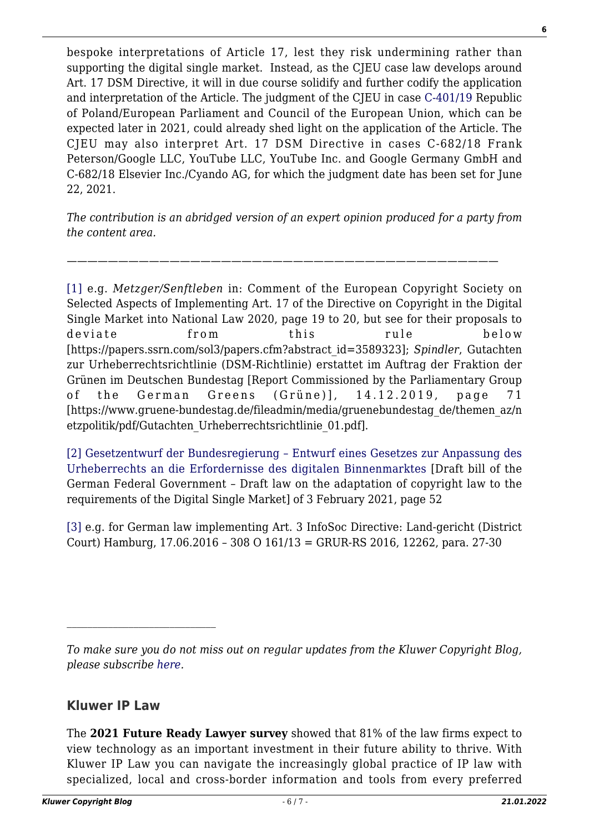bespoke interpretations of Article 17, lest they risk undermining rather than supporting the digital single market. Instead, as the CJEU case law develops around Art. 17 DSM Directive, it will in due course solidify and further codify the application and interpretation of the Article. The judgment of the CJEU in case [C-401/19](https://curia.europa.eu/juris/liste.jsf?oqp=&for=&mat=or&lgrec=en&jge=&td=%3BALL&jur=C%2CT%2CF&num=C-401%252F19&page=1&dates=&pcs=Oor&lg=&pro=&nat=or&cit=none%252CC%252CCJ%252CR%252C2008E%252C%252C%252C%252C%252C%252C%252C%252C%252C%252Ctrue%252Cfalse%252Cfalse&language=en&avg=&cid=15264614) Republic of Poland/European Parliament and Council of the European Union, which can be expected later in 2021, could already shed light on the application of the Article. The CJEU may also interpret Art. 17 DSM Directive in cases C-682/18 Frank Peterson/Google LLC, YouTube LLC, YouTube Inc. and Google Germany GmbH and C-682/18 Elsevier Inc./Cyando AG, for which the judgment date has been set for June 22, 2021.

*The contribution is an abridged version of an expert opinion produced for a party from the content area.*

——————————————————————————————————————————

<span id="page-5-0"></span>[\[1\]](#page-3-0) e.g. *Metzger/Senftleben* in: Comment of the European Copyright Society on Selected Aspects of Implementing Art. 17 of the Directive on Copyright in the Digital Single Market into National Law 2020, page 19 to 20, but see for their proposals to deviate from this rule below [https://papers.ssrn.com/sol3/papers.cfm?abstract\_id=3589323]; *Spindler*, Gutachten zur Urheberrechtsrichtlinie (DSM-Richtlinie) erstattet im Auftrag der Fraktion der Grünen im Deutschen Bundestag [Report Commissioned by the Parliamentary Group of the German Greens (Grüne)], 14.12.2019, page 71 [https://www.gruene-bundestag.de/fileadmin/media/gruenebundestag\_de/themen\_az/n etzpolitik/pdf/Gutachten\_Urheberrechtsrichtlinie\_01.pdf].

<span id="page-5-1"></span>[\[2\]](#page-3-1) [Gesetzentwurf der Bundesregierung – Entwurf eines Gesetzes zur Anpassung des](https://www.bmjv.de/SharedDocs/Gesetzgebungsverfahren/Dokumente/RegE_Gesetz_Anpassung_Urheberrecht_digitaler_Binnenmarkt.pdf;jsessionid=27CFECED41724A43AF6E35BA795059CF.2_cid334?__blob=publicationFile&v=5) [Urheberrechts an die Erfordernisse des digitalen Binnenmarktes](https://www.bmjv.de/SharedDocs/Gesetzgebungsverfahren/Dokumente/RegE_Gesetz_Anpassung_Urheberrecht_digitaler_Binnenmarkt.pdf;jsessionid=27CFECED41724A43AF6E35BA795059CF.2_cid334?__blob=publicationFile&v=5) [Draft bill of the German Federal Government – Draft law on the adaptation of copyright law to the requirements of the Digital Single Market] of 3 February 2021, page 52

<span id="page-5-2"></span>[\[3\]](#page-3-2) e.g. for German law implementing Art. 3 InfoSoc Directive: Land-gericht (District Court) Hamburg, 17.06.2016 – 308 O 161/13 = GRUR-RS 2016, 12262, para. 27-30

### **Kluwer IP Law**

 $\mathcal{L}_\text{max}$ 

The **2021 Future Ready Lawyer survey** showed that 81% of the law firms expect to view technology as an important investment in their future ability to thrive. With Kluwer IP Law you can navigate the increasingly global practice of IP law with specialized, local and cross-border information and tools from every preferred **6**

*To make sure you do not miss out on regular updates from the Kluwer Copyright Blog, please subscribe [here.](http://copyrightblog.kluweriplaw.com/newsletter)*